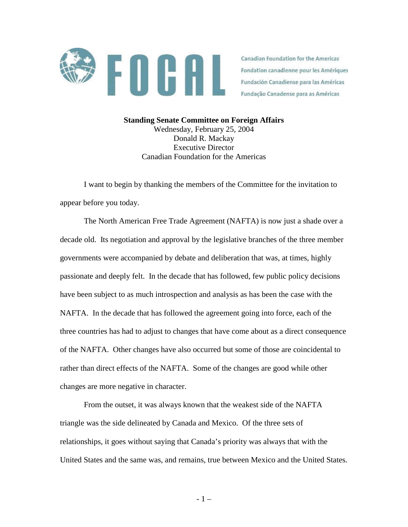

Canadian Foundation for the Americas Fondation canadienne pour les Amériques Fundación Canadiense para las Américas Fundação Canadense para as Américas

**Standing Senate Committee on Foreign Affairs**  Wednesday, February 25, 2004 Donald R. Mackay Executive Director Canadian Foundation for the Americas

I want to begin by thanking the members of the Committee for the invitation to appear before you today.

The North American Free Trade Agreement (NAFTA) is now just a shade over a decade old. Its negotiation and approval by the legislative branches of the three member governments were accompanied by debate and deliberation that was, at times, highly passionate and deeply felt. In the decade that has followed, few public policy decisions have been subject to as much introspection and analysis as has been the case with the NAFTA. In the decade that has followed the agreement going into force, each of the three countries has had to adjust to changes that have come about as a direct consequence of the NAFTA. Other changes have also occurred but some of those are coincidental to rather than direct effects of the NAFTA. Some of the changes are good while other changes are more negative in character.

 From the outset, it was always known that the weakest side of the NAFTA triangle was the side delineated by Canada and Mexico. Of the three sets of relationships, it goes without saying that Canada's priority was always that with the United States and the same was, and remains, true between Mexico and the United States.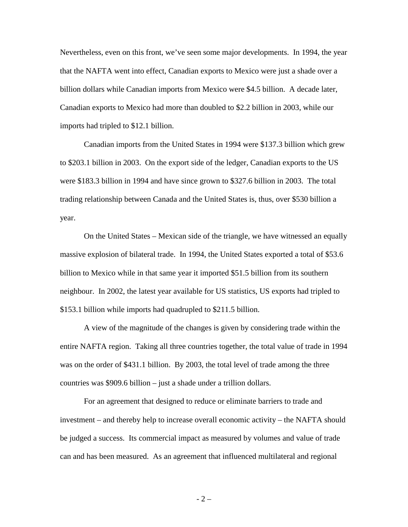Nevertheless, even on this front, we've seen some major developments. In 1994, the year that the NAFTA went into effect, Canadian exports to Mexico were just a shade over a billion dollars while Canadian imports from Mexico were \$4.5 billion. A decade later, Canadian exports to Mexico had more than doubled to \$2.2 billion in 2003, while our imports had tripled to \$12.1 billion.

 Canadian imports from the United States in 1994 were \$137.3 billion which grew to \$203.1 billion in 2003. On the export side of the ledger, Canadian exports to the US were \$183.3 billion in 1994 and have since grown to \$327.6 billion in 2003. The total trading relationship between Canada and the United States is, thus, over \$530 billion a year.

 On the United States – Mexican side of the triangle, we have witnessed an equally massive explosion of bilateral trade. In 1994, the United States exported a total of \$53.6 billion to Mexico while in that same year it imported \$51.5 billion from its southern neighbour. In 2002, the latest year available for US statistics, US exports had tripled to \$153.1 billion while imports had quadrupled to \$211.5 billion.

 A view of the magnitude of the changes is given by considering trade within the entire NAFTA region. Taking all three countries together, the total value of trade in 1994 was on the order of \$431.1 billion. By 2003, the total level of trade among the three countries was \$909.6 billion – just a shade under a trillion dollars.

 For an agreement that designed to reduce or eliminate barriers to trade and investment – and thereby help to increase overall economic activity – the NAFTA should be judged a success. Its commercial impact as measured by volumes and value of trade can and has been measured. As an agreement that influenced multilateral and regional

 $- 2 -$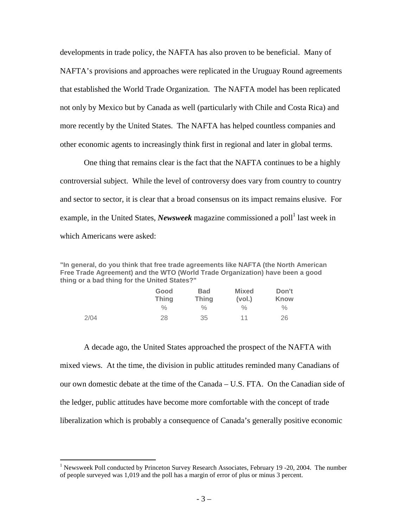developments in trade policy, the NAFTA has also proven to be beneficial. Many of NAFTA's provisions and approaches were replicated in the Uruguay Round agreements that established the World Trade Organization. The NAFTA model has been replicated not only by Mexico but by Canada as well (particularly with Chile and Costa Rica) and more recently by the United States. The NAFTA has helped countless companies and other economic agents to increasingly think first in regional and later in global terms.

One thing that remains clear is the fact that the NAFTA continues to be a highly controversial subject. While the level of controversy does vary from country to country and sector to sector, it is clear that a broad consensus on its impact remains elusive. For example, in the United States, *Newsweek* magazine commissioned a poll<sup>1</sup> last week in which Americans were asked:

**"In general, do you think that free trade agreements like NAFTA (the North American Free Trade Agreement) and the WTO (World Trade Organization) have been a good thing or a bad thing for the United States?"**

|      | Good<br><b>Thing</b> | <b>Bad</b><br><b>Thing</b> | <b>Mixed</b><br>(vol.) | Don't<br>Know |
|------|----------------------|----------------------------|------------------------|---------------|
|      | $\%$                 | ℅                          | $\%$                   | $\%$          |
| 2/04 | 28                   | 35                         | 11                     | 26            |

A decade ago, the United States approached the prospect of the NAFTA with mixed views. At the time, the division in public attitudes reminded many Canadians of our own domestic debate at the time of the Canada – U.S. FTA. On the Canadian side of the ledger, public attitudes have become more comfortable with the concept of trade liberalization which is probably a consequence of Canada's generally positive economic

 $\overline{a}$ 

<sup>&</sup>lt;sup>1</sup> Newsweek Poll conducted by Princeton Survey Research Associates, February 19 -20, 2004. The number of people surveyed was 1,019 and the poll has a margin of error of plus or minus 3 percent.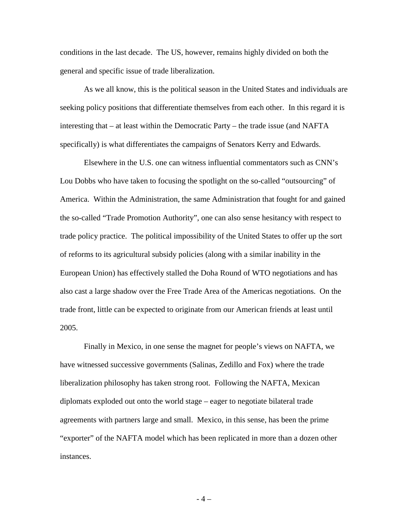conditions in the last decade. The US, however, remains highly divided on both the general and specific issue of trade liberalization.

As we all know, this is the political season in the United States and individuals are seeking policy positions that differentiate themselves from each other. In this regard it is interesting that – at least within the Democratic Party – the trade issue (and NAFTA specifically) is what differentiates the campaigns of Senators Kerry and Edwards.

Elsewhere in the U.S. one can witness influential commentators such as CNN's Lou Dobbs who have taken to focusing the spotlight on the so-called "outsourcing" of America. Within the Administration, the same Administration that fought for and gained the so-called "Trade Promotion Authority", one can also sense hesitancy with respect to trade policy practice. The political impossibility of the United States to offer up the sort of reforms to its agricultural subsidy policies (along with a similar inability in the European Union) has effectively stalled the Doha Round of WTO negotiations and has also cast a large shadow over the Free Trade Area of the Americas negotiations. On the trade front, little can be expected to originate from our American friends at least until 2005.

Finally in Mexico, in one sense the magnet for people's views on NAFTA, we have witnessed successive governments (Salinas, Zedillo and Fox) where the trade liberalization philosophy has taken strong root. Following the NAFTA, Mexican diplomats exploded out onto the world stage – eager to negotiate bilateral trade agreements with partners large and small. Mexico, in this sense, has been the prime "exporter" of the NAFTA model which has been replicated in more than a dozen other instances.

 $-4-$